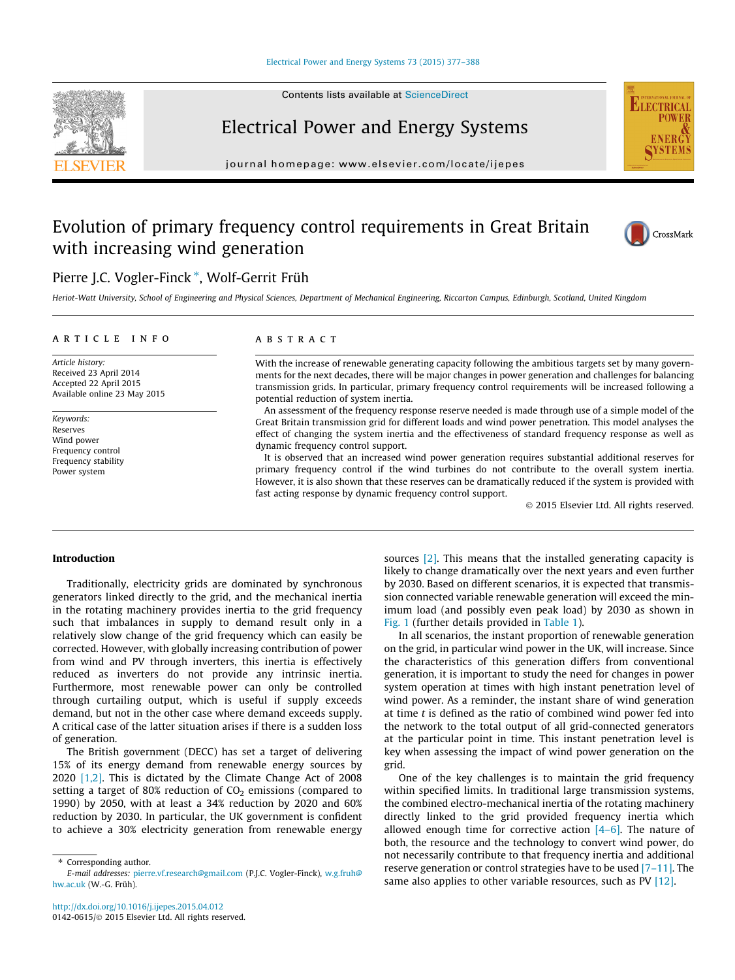Contents lists available at [ScienceDirect](http://www.sciencedirect.com/science/journal/01420615)

# Electrical Power and Energy Systems

journal homepage: [www.elsevier.com/locate/ijepes](http://www.elsevier.com/locate/ijepes)

# Evolution of primary frequency control requirements in Great Britain with increasing wind generation



**ELECTRICAL** 

**STEV** 

# Pierre J.C. Vogler-Finck<sup>\*</sup>, Wolf-Gerrit Früh

Heriot-Watt University, School of Engineering and Physical Sciences, Department of Mechanical Engineering, Riccarton Campus, Edinburgh, Scotland, United Kingdom

## article info

Article history: Received 23 April 2014 Accepted 22 April 2015 Available online 23 May 2015

Keywords: Reserves Wind power Frequency control Frequency stability Power system

# ABSTRACT

With the increase of renewable generating capacity following the ambitious targets set by many governments for the next decades, there will be major changes in power generation and challenges for balancing transmission grids. In particular, primary frequency control requirements will be increased following a potential reduction of system inertia.

An assessment of the frequency response reserve needed is made through use of a simple model of the Great Britain transmission grid for different loads and wind power penetration. This model analyses the effect of changing the system inertia and the effectiveness of standard frequency response as well as dynamic frequency control support.

It is observed that an increased wind power generation requires substantial additional reserves for primary frequency control if the wind turbines do not contribute to the overall system inertia. However, it is also shown that these reserves can be dramatically reduced if the system is provided with fast acting response by dynamic frequency control support.

- 2015 Elsevier Ltd. All rights reserved.

## Introduction

Traditionally, electricity grids are dominated by synchronous generators linked directly to the grid, and the mechanical inertia in the rotating machinery provides inertia to the grid frequency such that imbalances in supply to demand result only in a relatively slow change of the grid frequency which can easily be corrected. However, with globally increasing contribution of power from wind and PV through inverters, this inertia is effectively reduced as inverters do not provide any intrinsic inertia. Furthermore, most renewable power can only be controlled through curtailing output, which is useful if supply exceeds demand, but not in the other case where demand exceeds supply. A critical case of the latter situation arises if there is a sudden loss of generation.

The British government (DECC) has set a target of delivering 15% of its energy demand from renewable energy sources by 2020  $[1,2]$ . This is dictated by the Climate Change Act of 2008 setting a target of 80% reduction of  $CO<sub>2</sub>$  emissions (compared to 1990) by 2050, with at least a 34% reduction by 2020 and 60% reduction by 2030. In particular, the UK government is confident to achieve a 30% electricity generation from renewable energy sources [\[2\]](#page--1-0). This means that the installed generating capacity is likely to change dramatically over the next years and even further by 2030. Based on different scenarios, it is expected that transmission connected variable renewable generation will exceed the minimum load (and possibly even peak load) by 2030 as shown in [Fig. 1](#page-1-0) (further details provided in [Table 1\)](#page-1-0).

In all scenarios, the instant proportion of renewable generation on the grid, in particular wind power in the UK, will increase. Since the characteristics of this generation differs from conventional generation, it is important to study the need for changes in power system operation at times with high instant penetration level of wind power. As a reminder, the instant share of wind generation at time  $t$  is defined as the ratio of combined wind power fed into the network to the total output of all grid-connected generators at the particular point in time. This instant penetration level is key when assessing the impact of wind power generation on the grid.

One of the key challenges is to maintain the grid frequency within specified limits. In traditional large transmission systems, the combined electro-mechanical inertia of the rotating machinery directly linked to the grid provided frequency inertia which allowed enough time for corrective action  $[4-6]$ . The nature of both, the resource and the technology to convert wind power, do not necessarily contribute to that frequency inertia and additional reserve generation or control strategies have to be used [\[7–11\].](#page--1-0) The same also applies to other variable resources, such as PV [\[12\]](#page--1-0).



Corresponding author. E-mail addresses: [pierre.vf.research@gmail.com](mailto:pierre.vf.research@gmail.com) (P.J.C. Vogler-Finck), [w.g.fruh@](mailto:w.g.fruh@hw.ac.uk) [hw.ac.uk](mailto:w.g.fruh@hw.ac.uk) (W.-G. Früh).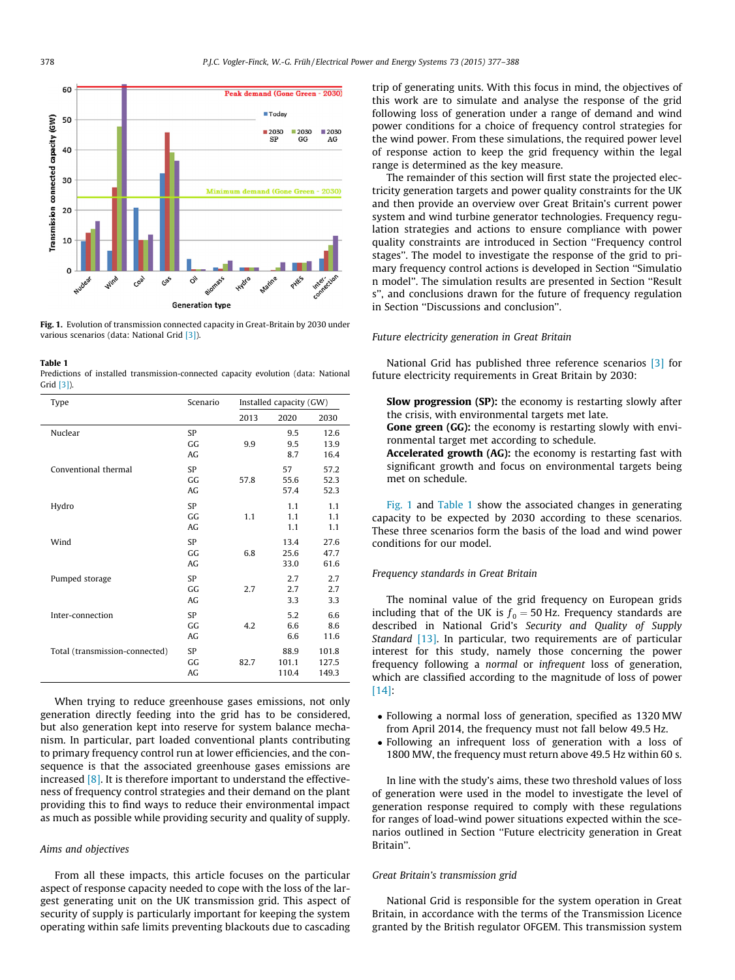<span id="page-1-0"></span>

Fig. 1. Evolution of transmission connected capacity in Great-Britain by 2030 under various scenarios (data: National Grid [\[3\]\)](#page--1-0).

#### Table 1

Predictions of installed transmission-connected capacity evolution (data: National Grid [\[3\]](#page--1-0)).

| Type                           | Scenario              | Installed capacity (GW) |                        |                         |
|--------------------------------|-----------------------|-------------------------|------------------------|-------------------------|
|                                |                       | 2013                    | 2020                   | 2030                    |
| Nuclear                        | SP<br>GG<br>AG        | 9.9                     | 9.5<br>9.5<br>8.7      | 12.6<br>13.9<br>16.4    |
| Conventional thermal           | <b>SP</b><br>GG<br>AG | 57.8                    | 57<br>55.6<br>57.4     | 57.2<br>52.3<br>52.3    |
| Hydro                          | SP<br>GG<br>AG        | 1.1                     | 1.1<br>1.1<br>1.1      | 1.1<br>1.1<br>1.1       |
| Wind                           | SP<br>GG<br>AG        | 6.8                     | 13.4<br>25.6<br>33.0   | 27.6<br>47.7<br>61.6    |
| Pumped storage                 | SP<br>GG<br>AG        | 2.7                     | 2.7<br>2.7<br>3.3      | 2.7<br>2.7<br>3.3       |
| Inter-connection               | <b>SP</b><br>GG<br>AG | 4.2                     | 5.2<br>6.6<br>6.6      | 6.6<br>8.6<br>11.6      |
| Total (transmission-connected) | SP<br>GG<br>AG        | 82.7                    | 88.9<br>101.1<br>110.4 | 101.8<br>127.5<br>149.3 |

When trying to reduce greenhouse gases emissions, not only generation directly feeding into the grid has to be considered, but also generation kept into reserve for system balance mechanism. In particular, part loaded conventional plants contributing to primary frequency control run at lower efficiencies, and the consequence is that the associated greenhouse gases emissions are increased [\[8\].](#page--1-0) It is therefore important to understand the effectiveness of frequency control strategies and their demand on the plant providing this to find ways to reduce their environmental impact as much as possible while providing security and quality of supply.

# Aims and objectives

From all these impacts, this article focuses on the particular aspect of response capacity needed to cope with the loss of the largest generating unit on the UK transmission grid. This aspect of security of supply is particularly important for keeping the system operating within safe limits preventing blackouts due to cascading trip of generating units. With this focus in mind, the objectives of this work are to simulate and analyse the response of the grid following loss of generation under a range of demand and wind power conditions for a choice of frequency control strategies for the wind power. From these simulations, the required power level of response action to keep the grid frequency within the legal range is determined as the key measure.

The remainder of this section will first state the projected electricity generation targets and power quality constraints for the UK and then provide an overview over Great Britain's current power system and wind turbine generator technologies. Frequency regulation strategies and actions to ensure compliance with power quality constraints are introduced in Section ''Frequency control stages''. The model to investigate the response of the grid to primary frequency control actions is developed in Section ''Simulatio n model''. The simulation results are presented in Section ''Result s'', and conclusions drawn for the future of frequency regulation in Section ''Discussions and conclusion''.

## Future electricity generation in Great Britain

National Grid has published three reference scenarios [\[3\]](#page--1-0) for future electricity requirements in Great Britain by 2030:

Slow progression (SP): the economy is restarting slowly after the crisis, with environmental targets met late.

Gone green (GG): the economy is restarting slowly with environmental target met according to schedule.

Accelerated growth (AG): the economy is restarting fast with significant growth and focus on environmental targets being met on schedule.

Fig. 1 and Table 1 show the associated changes in generating capacity to be expected by 2030 according to these scenarios. These three scenarios form the basis of the load and wind power conditions for our model.

# Frequency standards in Great Britain

The nominal value of the grid frequency on European grids including that of the UK is  $f_0 = 50$  Hz. Frequency standards are described in National Grid's Security and Quality of Supply Standard [\[13\].](#page--1-0) In particular, two requirements are of particular interest for this study, namely those concerning the power frequency following a normal or infrequent loss of generation, which are classified according to the magnitude of loss of power [\[14\]](#page--1-0):

- Following a normal loss of generation, specified as 1320 MW from April 2014, the frequency must not fall below 49.5 Hz.
- Following an infrequent loss of generation with a loss of 1800 MW, the frequency must return above 49.5 Hz within 60 s.

In line with the study's aims, these two threshold values of loss of generation were used in the model to investigate the level of generation response required to comply with these regulations for ranges of load-wind power situations expected within the scenarios outlined in Section ''Future electricity generation in Great Britain''.

### Great Britain's transmission grid

National Grid is responsible for the system operation in Great Britain, in accordance with the terms of the Transmission Licence granted by the British regulator OFGEM. This transmission system